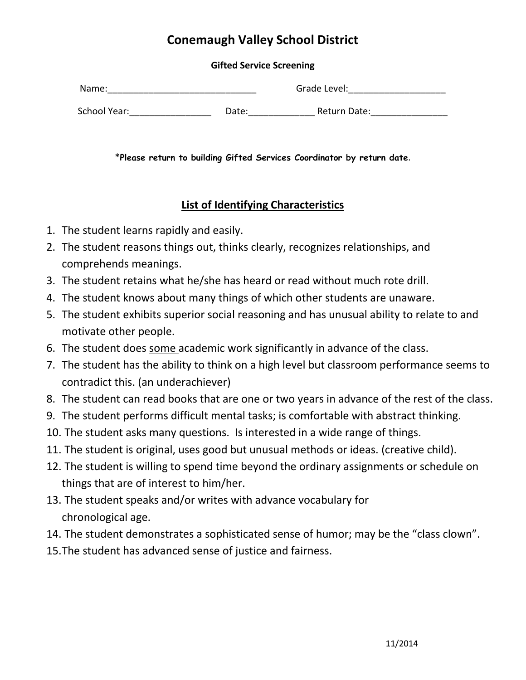## **Conemaugh Valley School District**

## **Gifted Service Screening**

| Name:        |       | Grade Level: |  |
|--------------|-------|--------------|--|
| School Year: | Date: | Return Date: |  |

\***Please return to building Gifted Services Coordinator by return date**.

## **List of Identifying Characteristics**

- 1. The student learns rapidly and easily.
- 2. The student reasons things out, thinks clearly, recognizes relationships, and comprehends meanings.
- 3. The student retains what he/she has heard or read without much rote drill.
- 4. The student knows about many things of which other students are unaware.
- 5. The student exhibits superior social reasoning and has unusual ability to relate to and motivate other people.
- 6. The student does some academic work significantly in advance of the class.
- 7. The student has the ability to think on a high level but classroom performance seems to contradict this. (an underachiever)
- 8. The student can read books that are one or two years in advance of the rest of the class.
- 9. The student performs difficult mental tasks; is comfortable with abstract thinking.
- 10. The student asks many questions. Is interested in a wide range of things.
- 11. The student is original, uses good but unusual methods or ideas. (creative child).
- 12. The student is willing to spend time beyond the ordinary assignments or schedule on things that are of interest to him/her.
- 13. The student speaks and/or writes with advance vocabulary for chronological age.
- 14. The student demonstrates a sophisticated sense of humor; may be the "class clown".
- 15.The student has advanced sense of justice and fairness.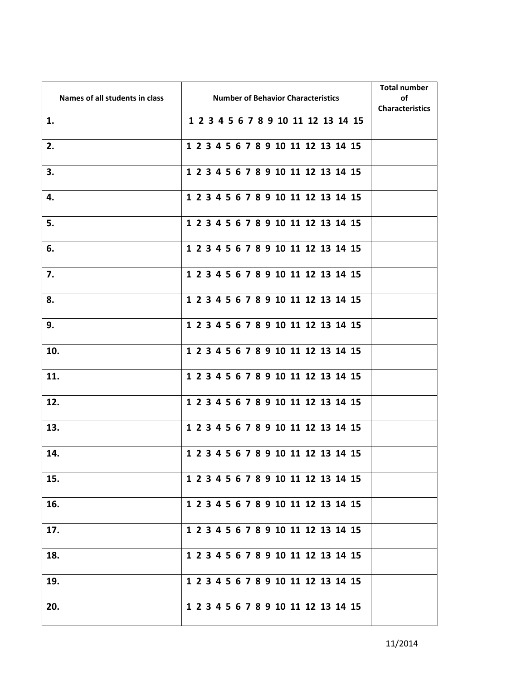| Names of all students in class | <b>Number of Behavior Characteristics</b> | <b>Total number</b><br>οf<br><b>Characteristics</b> |
|--------------------------------|-------------------------------------------|-----------------------------------------------------|
| 1.                             | 1 2 3 4 5 6 7 8 9 10 11 12 13 14 15       |                                                     |
| 2.                             | 1 2 3 4 5 6 7 8 9 10 11 12 13 14 15       |                                                     |
| 3.                             | 1 2 3 4 5 6 7 8 9 10 11 12 13 14 15       |                                                     |
| 4.                             | 1 2 3 4 5 6 7 8 9 10 11 12 13 14 15       |                                                     |
| 5.                             | 1 2 3 4 5 6 7 8 9 10 11 12 13 14 15       |                                                     |
| 6.                             | 1 2 3 4 5 6 7 8 9 10 11 12 13 14 15       |                                                     |
| 7.                             | 1 2 3 4 5 6 7 8 9 10 11 12 13 14 15       |                                                     |
| 8.                             | 1 2 3 4 5 6 7 8 9 10 11 12 13 14 15       |                                                     |
| 9.                             | 1 2 3 4 5 6 7 8 9 10 11 12 13 14 15       |                                                     |
| 10.                            | 1 2 3 4 5 6 7 8 9 10 11 12 13 14 15       |                                                     |
| 11.                            | 1 2 3 4 5 6 7 8 9 10 11 12 13 14 15       |                                                     |
| 12.                            | 1 2 3 4 5 6 7 8 9 10 11 12 13 14 15       |                                                     |
| 13.                            | 1 2 3 4 5 6 7 8 9 10 11 12 13 14 15       |                                                     |
| 14.                            | 1 2 3 4 5 6 7 8 9 10 11 12 13 14 15       |                                                     |
| 15.                            | 1 2 3 4 5 6 7 8 9 10 11 12 13 14 15       |                                                     |
| 16.                            | 1 2 3 4 5 6 7 8 9 10 11 12 13 14 15       |                                                     |
| 17.                            | 1 2 3 4 5 6 7 8 9 10 11 12 13 14 15       |                                                     |
| 18.                            | 1 2 3 4 5 6 7 8 9 10 11 12 13 14 15       |                                                     |
| 19.                            | 1 2 3 4 5 6 7 8 9 10 11 12 13 14 15       |                                                     |
| 20.                            | 1 2 3 4 5 6 7 8 9 10 11 12 13 14 15       |                                                     |